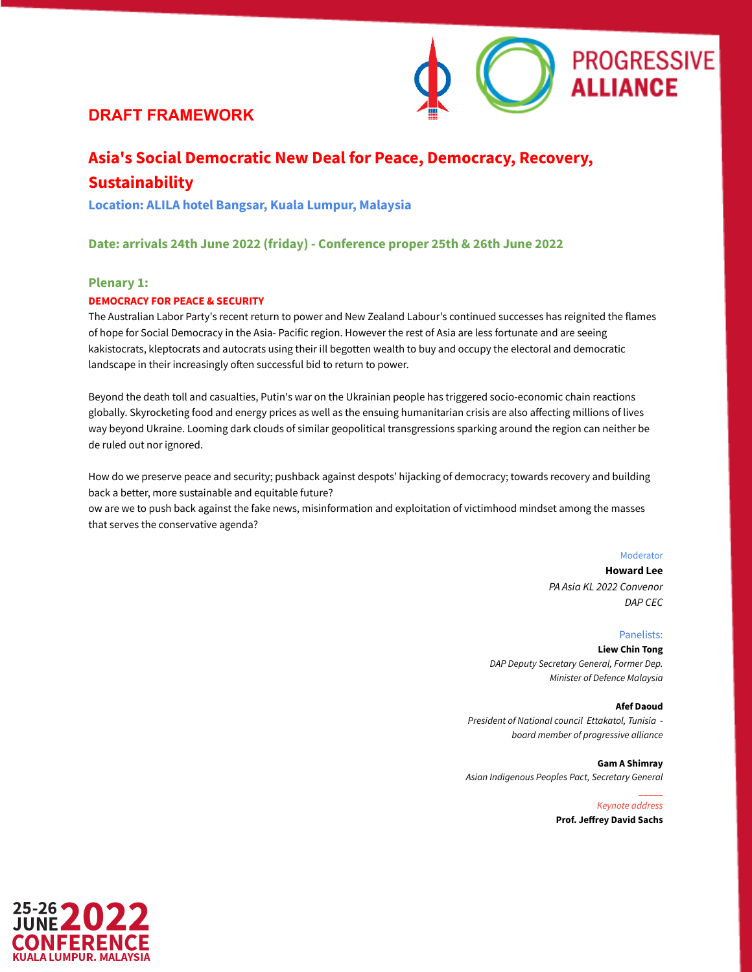

# **Asia's Social Democratic New Deal for Peace, Democracy, Recovery, Sustainability**

**Location: ALILA hotel Bangsar, Kuala Lumpur, Malaysia**

**Date: arrivals 24th June 2022 (friday) - Conference proper 25th & 26th June 2022**

### **Plenary 1:**

### **DEMOCRACY FOR PEACE & SECURITY**

The Australian Labor Party's recent return to power and New Zealand Labour's continued successes has reignited the flames of hope for Social Democracy in the Asia- Pacific region. However the rest of Asia are less fortunate and are seeing kakistocrats, kleptocrats and autocrats using their ill begotten wealth to buy and occupy the electoral and democratic landscape in their increasingly often successful bid to return to power.

Beyond the death toll and casualties, Putin's war on the Ukrainian people has triggered socio-economic chain reactions globally. Skyrocketing food and energy prices as well as the ensuing humanitarian crisis are also affecting millions of lives way beyond Ukraine. Looming dark clouds of similar geopolitical transgressions sparking around the region can neither be de ruled out nor ignored.

How do we preserve peace and security; pushback against despots' hijacking of democracy; towards recovery and building back a better, more sustainable and equitable future?

ow are we to push back against the fake news, misinformation and exploitation of victimhood mindset among the masses that serves the conservative agenda?

#### Moderator

**Howard Lee** *PA Asia KL 2022 Convenor DAP CEC*

### Panelists:

**Liew Chin Tong** *DAP Deputy Secretary General, Former Dep. Minister of Defence Malaysia*

#### **Afef Daoud**

\_\_\_\_\_

*President of National council Ettakatol, Tunisia board member of progressive alliance*

**Gam A Shimray** *Asian Indigenous Peoples Pact, Secretary General*

> *Keynote address* **Prof. Jeffrey David Sachs**

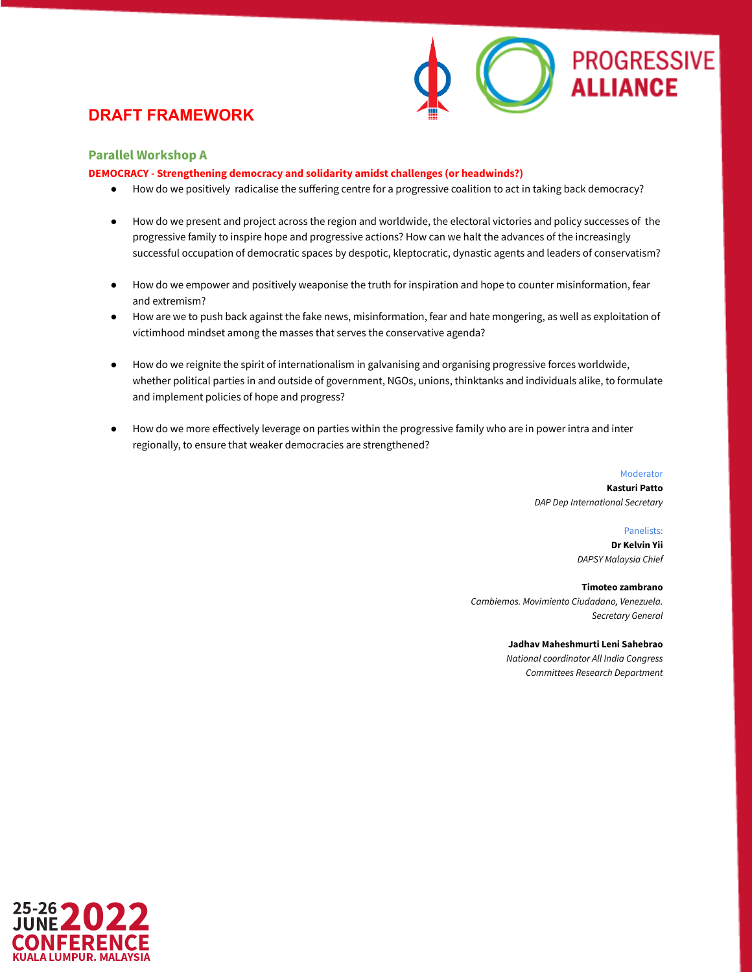

### **Parallel Workshop A**

**DEMOCRACY - Strengthening democracy and solidarity amidst challenges (or headwinds?)**

- How do we positively radicalise the suffering centre for a progressive coalition to act in taking back democracy?
- How do we present and project across the region and worldwide, the electoral victories and policy successes of the progressive family to inspire hope and progressive actions? How can we halt the advances of the increasingly successful occupation of democratic spaces by despotic, kleptocratic, dynastic agents and leaders of conservatism?
- How do we empower and positively weaponise the truth for inspiration and hope to counter misinformation, fear and extremism?
- How are we to push back against the fake news, misinformation, fear and hate mongering, as well as exploitation of victimhood mindset among the masses that serves the conservative agenda?
- How do we reignite the spirit of internationalism in galvanising and organising progressive forces worldwide, whether political parties in and outside of government, NGOs, unions, thinktanks and individuals alike, to formulate and implement policies of hope and progress?
- How do we more effectively leverage on parties within the progressive family who are in power intra and inter regionally, to ensure that weaker democracies are strengthened?

Moderator **Kasturi Patto** *DAP Dep International Secretary*

> Panelists: **Dr Kelvin Yii** *DAPSY Malaysia Chief*

**Timoteo zambrano** *Cambiemos. Movimiento Ciudadano, Venezuela. Secretary General*

> **Jadhav Maheshmurti Leni Sahebrao** *National coordinator All India Congress*

*Committees Research Department*

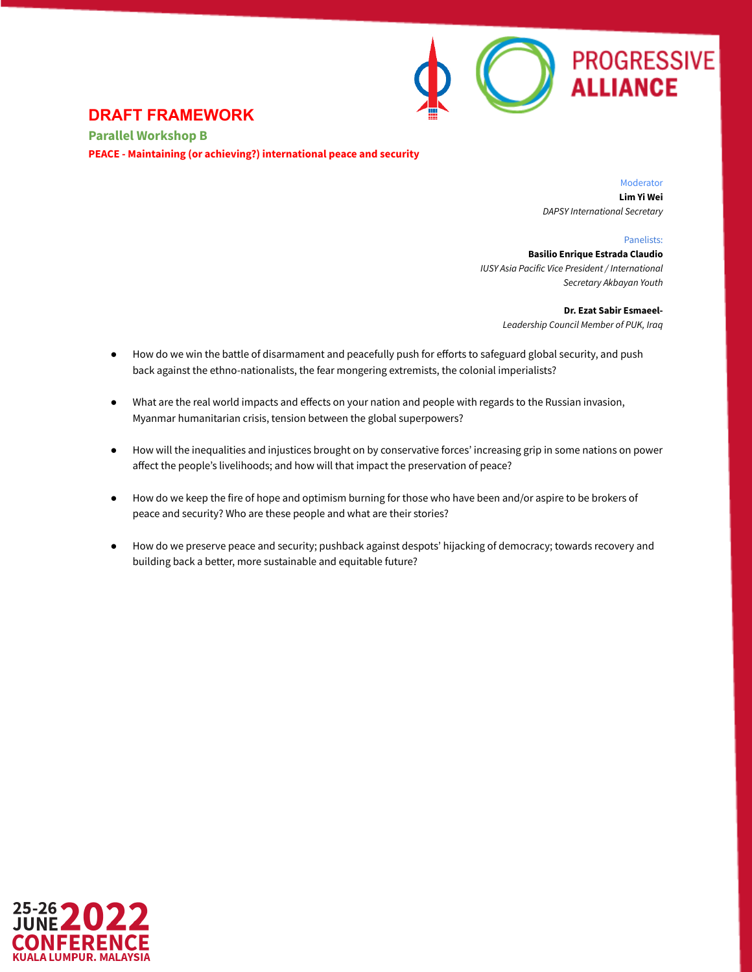

**Parallel Workshop B PEACE - Maintaining (or achieving?) international peace and security**

> Moderator **Lim Yi Wei** *DAPSY International Secretary*

> > Panelists:

**Basilio Enrique Estrada Claudio** *IUSY Asia Pacific Vice President / International Secretary Akbayan Youth*

> **Dr. Ezat Sabir Esmaeel-***Leadership Council Member of PUK, Iraq*

- How do we win the battle of disarmament and peacefully push for efforts to safeguard global security, and push back against the ethno-nationalists, the fear mongering extremists, the colonial imperialists?
- What are the real world impacts and effects on your nation and people with regards to the Russian invasion, Myanmar humanitarian crisis, tension between the global superpowers?
- How will the inequalities and injustices brought on by conservative forces' increasing grip in some nations on power affect the people's livelihoods; and how will that impact the preservation of peace?
- How do we keep the fire of hope and optimism burning for those who have been and/or aspire to be brokers of peace and security? Who are these people and what are their stories?
- How do we preserve peace and security; pushback against despots' hijacking of democracy; towards recovery and building back a better, more sustainable and equitable future?

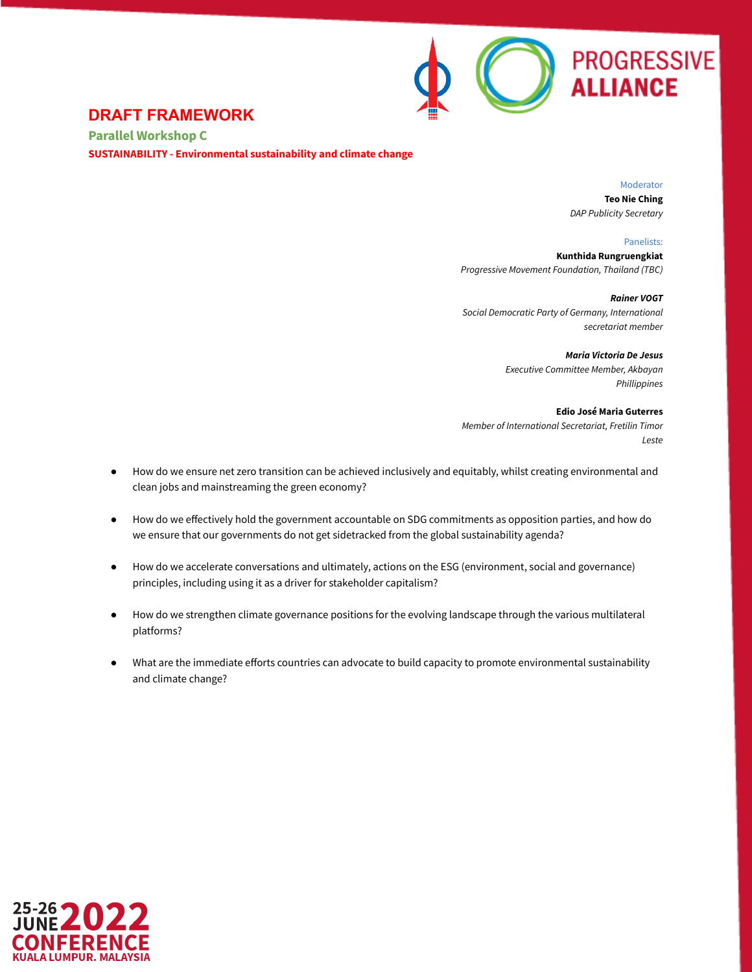

**Parallel Workshop C SUSTAINABILITY - Environmental sustainability and climate change**

> Moderator **Teo Nie Ching**

*DAP Publicity Secretary*

Panelists:

**Kunthida Rungruengkiat** *Progressive Movement Foundation, Thailand (TBC)*

*Rainer VOGT Social Democratic Party of Germany, International secretariat member*

> *Maria Victoria De Jesus Executive Committee Member, Akbayan Phillippines*

**Edio José Maria Guterres** *Member of International Secretariat, Fretilin Timor Leste*

- How do we ensure net zero transition can be achieved inclusively and equitably, whilst creating environmental and clean jobs and mainstreaming the green economy?
- How do we effectively hold the government accountable on SDG commitments as opposition parties, and how do we ensure that our governments do not get sidetracked from the global sustainability agenda?
- How do we accelerate conversations and ultimately, actions on the ESG (environment, social and governance) principles, including using it as a driver for stakeholder capitalism?
- How do we strengthen climate governance positions for the evolving landscape through the various multilateral platforms?
- What are the immediate efforts countries can advocate to build capacity to promote environmental sustainability and climate change?

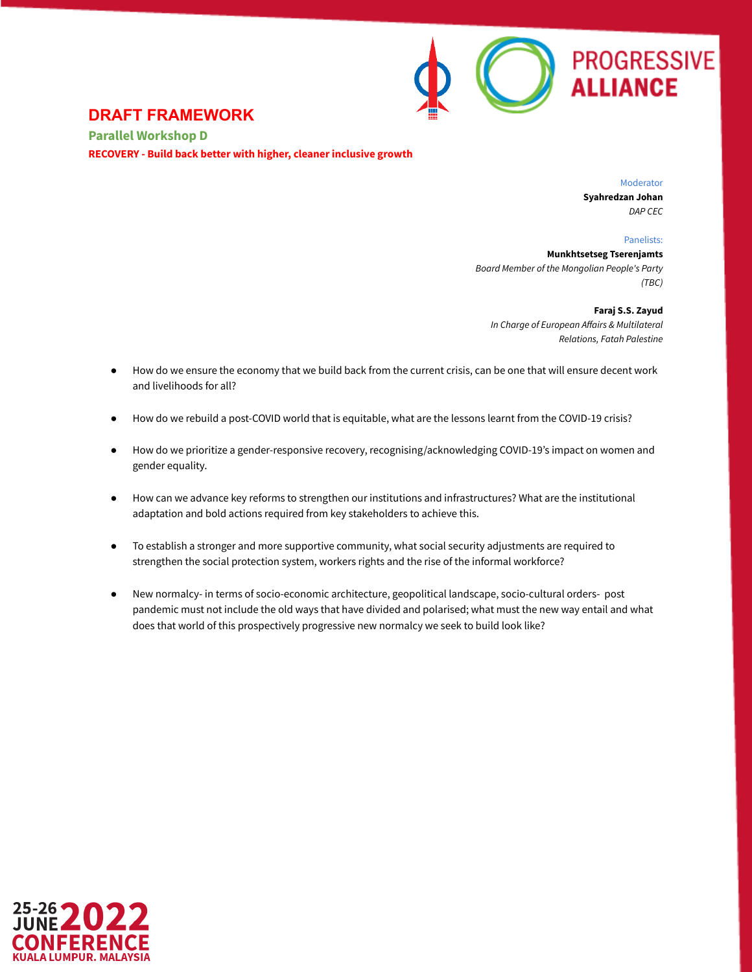

**Parallel Workshop D RECOVERY - Build back better with higher, cleaner inclusive growth**

> Moderator **Syahredzan Johan** *DAP CEC*

> > Panelists:

**Munkhtsetseg Tserenjamts** *Board Member of the Mongolian People's Party (TBC)*

**Faraj S.S. Zayud** *In Charge of European Affairs & Multilateral Relations, Fatah Palestine*

- How do we ensure the economy that we build back from the current crisis, can be one that will ensure decent work and livelihoods for all?
- How do we rebuild a post-COVID world that is equitable, what are the lessons learnt from the COVID-19 crisis?
- How do we prioritize a gender-responsive recovery, recognising/acknowledging COVID-19's impact on women and gender equality.
- How can we advance key reforms to strengthen our institutions and infrastructures? What are the institutional adaptation and bold actions required from key stakeholders to achieve this.
- To establish a stronger and more supportive community, what social security adjustments are required to strengthen the social protection system, workers rights and the rise of the informal workforce?
- New normalcy- in terms of socio-economic architecture, geopolitical landscape, socio-cultural orders- post pandemic must not include the old ways that have divided and polarised; what must the new way entail and what does that world of this prospectively progressive new normalcy we seek to build look like?